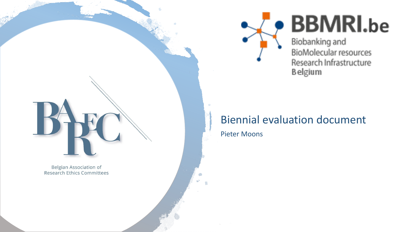

# **BBMRI.be**

Biobanking and BioMolecular resources Research Infrastructure **Belgium** 

### Biennial evaluation document

Pieter Moons

**Belgian Association of Research Ethics Committees**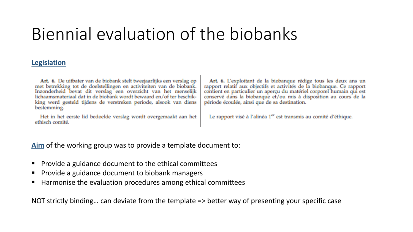## Biennial evaluation of the biobanks

### **Legislation**

Art. 6. De uitbater van de biobank stelt tweejaarlijks een verslag op met betrekking tot de doelstellingen en activiteiten van de biobank. Inzonderheid bevat dit verslag een overzicht van het menselijk lichaamsmateriaal dat in de biobank wordt bewaard en/of ter beschikking werd gesteld tijdens de verstreken periode, alsook van diens bestemming.

Het in het eerste lid bedoelde verslag wordt overgemaakt aan het ethisch comité.

Art. 6. L'exploitant de la biobanque rédige tous les deux ans un rapport relatif aux objectifs et activités de la biobanque. Ce rapport contient en particulier un aperçu du matériel corporel humain qui est conservé dans la biobanque et/ou mis à disposition au cours de la période écoulée, ainsi que de sa destination.

Le rapport visé à l'alinéa 1<sup>er</sup> est transmis au comité d'éthique.

**Aim** of the working group was to provide a template document to:

- Provide a guidance document to the ethical committees
- Provide a guidance document to biobank managers
- Harmonise the evaluation procedures among ethical committees

NOT strictly binding… can deviate from the template => better way of presenting your specific case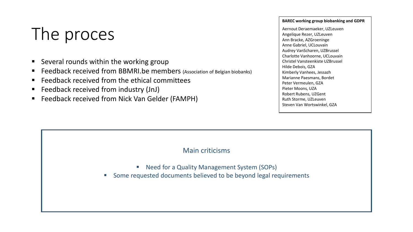## The proces

- Several rounds within the working group
- Feedback received from BBMRI.be members (Association of Belgian biobanks)
- Feedback received from the ethical committees
- Feedback received from industry (JnJ)
- Feedback received from Nick Van Gelder (FAMPH)

### **BAREC working group biobanking and GDPR**

Aernout Deraemaeker, UZLeuven Angelique Rezer, UZLeuven Ann Bracke, AZGroeninge Anne Gabriel, UCLouvain Audrey VanScharen, UZBrussel Charlotte Vanhoorne, UCLouvain Christel Vansteenkiste UZBrussel Hilde Debois, GZA Kimberly Vanhees, Jessazh Marianne Paesmans, Bordet Peter Vermeulen, GZA Pieter Moons, UZA Robert Rubens, UZGent Ruth Storme, UZLeuven Steven Van Wortswinkel, GZA

### Main criticisms

- Need for a Quality Management System (SOPs)
- Some requested documents believed to be beyond legal requirements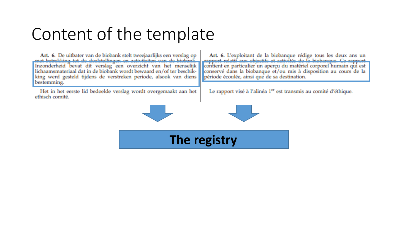## Content of the template

Art. 6. De uitbater van de biobank stelt tweejaarlijks een verslag op mat hatrakking tat da dogletallingan on sativitation van da highank Inzonderheid bevat dit verslag een overzicht van het menselijk lichaamsmateriaal dat in de biobank wordt bewaard en/of ter beschikking werd gesteld tijdens de verstreken periode, alsook van diens bestemming.

Het in het eerste lid bedoelde verslag wordt overgemaakt aan het ethisch comité.

Art. 6. L'exploitant de la biobanque rédige tous les deux ans un rannari rolatif aux abigatife at activitée da la bigbanque Co-rannari contient en particulier un aperçu du matériel corporel humain qui est conservé dans la biobanque et/ou mis à disposition au cours de la période écoulée, ainsi que de sa destination.

Le rapport visé à l'alinéa 1<sup>er</sup> est transmis au comité d'éthique.

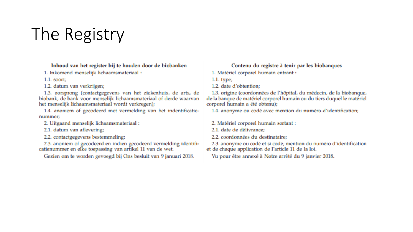## The Registry

### Inhoud van het register bij te houden door de biobanken

1. Inkomend menselijk lichaamsmateriaal:

 $1.1.$  soort;

1.2. datum van verkrijgen;

1.3. oorsprong (contactgegevens van het ziekenhuis, de arts, de biobank, de bank voor menselijk lichaamsmateriaal of derde waarvan het menselijk lichaamsmateriaal wordt verkregen);

1.4. anoniem of gecodeerd met vermelding van het indentificatienummer;

2. Uitgaand menselijk lichaamsmateriaal:

2.1. datum van aflevering;

2.2. contactgegevens bestemmeling;

2.3. anoniem of gecodeerd en indien gecodeerd vermelding identificatienummer en elke toepassing van artikel 11 van de wet.

Gezien om te worden gevoegd bij Ons besluit van 9 januari 2018.

### Contenu du registre à tenir par les biobanques

1. Matériel corporel humain entrant :

 $1.1.$  type;

1.2. date d'obtention;

1.3. origine (coordonnées de l'hôpital, du médecin, de la biobanque, de la banque de matériel corporel humain ou du tiers duquel le matériel corporel humain a été obtenu);

1.4. anonyme ou codé avec mention du numéro d'identification;

2. Matériel corporel humain sortant :

2.1. date de délivrance;

2.2. coordonnées du destinataire:

2.3. anonyme ou codé et si codé, mention du numéro d'identification et de chaque application de l'article 11 de la loi.

Vu pour être annexé à Notre arrêté du 9 janvier 2018.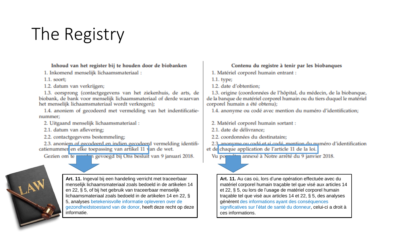## The Registry

### Inhoud van het register bij te houden door de biobanken

1. Inkomend menselijk lichaamsmateriaal:

 $1.1.$  soort;

1.2. datum van verkrijgen;

1.3. oorsprong (contactgegevens van het ziekenhuis, de arts, de biobank, de bank voor menselijk lichaamsmateriaal of derde waarvan het menselijk lichaamsmateriaal wordt verkregen);

1.4. anoniem of gecodeerd met vermelding van het indentificatienummer;

2. Uitgaand menselijk lichaamsmateriaal:

2.1. datum van aflevering;

2.2. contactgegevens bestemmeling;

2.3. anoniem of gecodeerd en indien gecodeerd vermelding identificatienummer en elke toepassing van artikel 11 van de wet.

rdan gevoegd bij Ons besluit van 9 januari 2018. Gezien om ter



Art. 11. Ingeval bij een handeling verricht met traceerbaar menselijk lichaamsmateriaal zoals bedoeld in de artikelen 14 en 22, § 5, of bij het gebruik van traceerbaar menselijk lichaamsmateriaal zoals bedoeld in de artikelen 14 en 22, § 5, analyses betekenisvolle informatie opleveren over de gezondheidstoestand van de donor, heeft deze recht op deze informatie.

### Contenu du registre à tenir par les biobanques

1. Matériel corporel humain entrant :

 $1.1.$  type;

1.2. date d'obtention:

1.3. origine (coordonnées de l'hôpital, du médecin, de la biobanque, de la banque de matériel corporel humain ou du tiers duquel le matériel corporel humain a été obtenu);

1.4. anonyme ou codé avec mention du numéro d'identification;

2. Matériel corporel humain sortant :

2.1. date de délivrance:

2.2. coordonnées du destinataire:

2.3 anonyme ou codé et si codé mention du numéro d'identification

et de chaque application de l'article 11 de la loi.

Vu po annexé à Notre arrêté du 9 janvier 2018.

Art. 11. Au cas où, lors d'une opération effectuée avec du matériel corporel humain traçable tel que visé aux articles 14 et 22, § 5, ou lors de l'usage de matériel corporel humain traçable tel que visé aux articles 14 et 22, § 5, des analyses génèrent des informations ayant des conséquences significatives sur l'état de santé du donneur, celui-ci a droit à ces informations.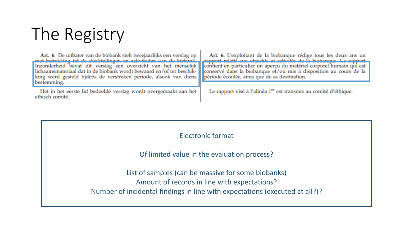## The Registry

Art. 6. De uitbater van de biobank stelt tweejaarlijks een verslag op mat batrakking tot da dogletallingan on setivitaitan van da biobank Inzonderheid bevat dit verslag een overzicht van het menselijk lichaamsmateriaal dat in de biobank wordt bewaard en/of ter beschikking werd gesteld tijdens de verstreken periode, alsook van diens bestemming.

Het in het eerste lid bedoelde verslag wordt overgemaakt aan het ethisch comité.

Art. 6. L'exploitant de la biobanque rédige tous les deux ans un cannot estatif aux objectifs et activités de la biobanesse Co-rannot contient en particulier un aperçu du matériel corporel humain qui est conservé dans la biobanque et/ou mis à disposition au cours de la période écoulée, ainsi que de sa destination.

Le rapport visé à l'alinéa 1<sup>er</sup> est transmis au comité d'éthique.

Electronic format

Of limited value in the evaluation process?

List of samples (can be massive for some biobanks) Amount of records in line with expectations? Number of incidental findings in line with expectations (executed at all?)?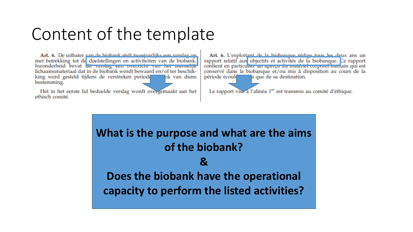## Content of the template

Art. 6. De uitbater van de hiebank stelt tweejaarlijks een verslag on. met betrekking tot de doelstellingen en activiteiten van de biobank. Inzonderheid bevat dit verslag een overzicht van het menselijk lichaamsmateriaal dat in de biobank wordt bewaard en/of ter beschikking werd gesteld tijdens de verstreken period lok van diens bestemming.

Het in het eerste lid bedoelde verslag wordt overgemaakt aan het ethisch comité.

Art. 6. L'exploitant de la hiobanoue rédice tous les deux ans un rapport relatif aux objectifs et activités de la biobanque. Ce rapport contient en particulier un aperçu du matérier corporer humain qui est conservé dans la biobanque et/ou mis à disposition au cours de la i que de sa destination. période écoule

Le rapport vise a l'alinéa 1<sup>er</sup> est transmis au comité d'éthique.

**What is the purpose and what are the aims of the biobank? & Does the biobank have the operational capacity to perform the listed activities?**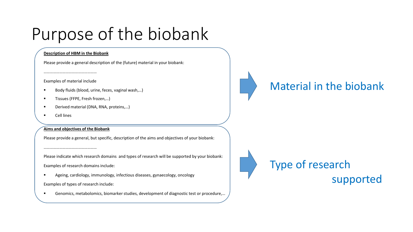## Purpose of the biobank

### **Description of HBM in the Biobank**

Please provide a general description of the (future) material in your biobank:

…………………………………………… Examples of material include

- Body fluids (blood, urine, feces, vaginal wash,...)
- Tissues (FFPE, Fresh frozen,...)
- Derived material (DNA, RNA, proteins,...)
- **Cell lines**

### **Aims and objectives of the Biobank**

…………………………………………

Please provide a general, but specific, description of the aims and objectives of your biobank:

Please indicate which research domains and types of research will be supported by your biobank: Examples of research domains include:

Ageing, cardiology, immunology, infectious diseases, gynaecology, oncology

Examples of types of research include:

Genomics, metabolomics, biomarker studies, development of diagnostic test or procedure,...



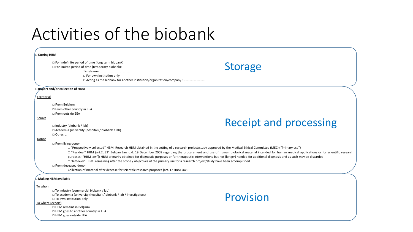## Activities of the biobank

#### ☐ **Storing HBM**

|                              | $\Box$ For indefinite period of time (long term biobank)<br>$\Box$ For limited period of time (temporary biobank):<br>□ For own institution only                                                                                                                                      | <b>Storage</b>                                                                                                                                                                                                                                                                                                                                                                                                                                                                                                                                               |
|------------------------------|---------------------------------------------------------------------------------------------------------------------------------------------------------------------------------------------------------------------------------------------------------------------------------------|--------------------------------------------------------------------------------------------------------------------------------------------------------------------------------------------------------------------------------------------------------------------------------------------------------------------------------------------------------------------------------------------------------------------------------------------------------------------------------------------------------------------------------------------------------------|
|                              |                                                                                                                                                                                                                                                                                       |                                                                                                                                                                                                                                                                                                                                                                                                                                                                                                                                                              |
|                              | □ Import and/or collection of HBM                                                                                                                                                                                                                                                     |                                                                                                                                                                                                                                                                                                                                                                                                                                                                                                                                                              |
| Territorial                  |                                                                                                                                                                                                                                                                                       |                                                                                                                                                                                                                                                                                                                                                                                                                                                                                                                                                              |
|                              | □ From Belgium<br>□ From other country in EEA<br>□ From outside EEA                                                                                                                                                                                                                   |                                                                                                                                                                                                                                                                                                                                                                                                                                                                                                                                                              |
| Source                       | $\Box$ Industry (biobank / lab)<br>□ Academia (university (hospital) / biobank / lab)<br>$\Box$ Other:                                                                                                                                                                                | <b>Receipt and processing</b>                                                                                                                                                                                                                                                                                                                                                                                                                                                                                                                                |
| Donor                        | $\Box$ From living donor<br>□ "left-over" HBM: remaining after the scope / objectives of the primary use for a research project/study have been accomplished<br>$\Box$ From deceased donor<br>Collection of material after decease for scientific research purposes (art. 12 HBM law) | □ "Prospectively collected" HBM: Research HBM obtained in the setting of a research project/study approved by the Medical Ethical Committee (MEC) ("Primary use")<br>□ "Residual" HBM (art.2, 33° Belgian Law d.d. 19 December 2008 regarding the procurement and use of human biological material intended for human medical applications or for scientific research<br>purposes ("HBM law"): HBM primarily obtained for diagnostic purposes or for therapeutic interventions but not (longer) needed for additional diagnosis and as such may be discarded |
|                              | $\bigcap$ Making HBM available                                                                                                                                                                                                                                                        |                                                                                                                                                                                                                                                                                                                                                                                                                                                                                                                                                              |
| To whom<br>To where (export) | □ To industry (commercial biobank / lab)<br>$\Box$ To academia (university (hospital) / biobank / lab / investigators)<br>□ To own institution only<br>$\Box$ HBM remains in Belgium<br>□ HBM goes to another country in EEA<br>□ HBM goes outside EEA                                | Provision                                                                                                                                                                                                                                                                                                                                                                                                                                                                                                                                                    |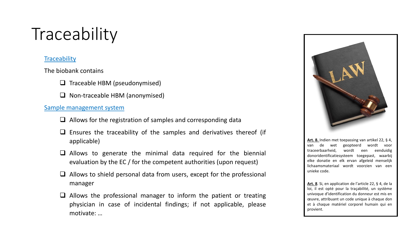## **Traceability**

### **Traceability**

The biobank contains

- ❑ Traceable HBM (pseudonymised)
- ❑ Non-traceable HBM (anonymised)

### Sample management system

- $\Box$  Allows for the registration of samples and corresponding data
- $\Box$  Ensures the traceability of the samples and derivatives thereof (if applicable)
- ❑ Allows to generate the minimal data required for the biennial evaluation by the EC / for the competent authorities (upon request)
- $\Box$  Allows to shield personal data from users, except for the professional manager
- $\Box$  Allows the professional manager to inform the patient or treating physician in case of incidental findings; if not applicable, please motivate: …



**Art. 8.** Indien met toepassing van artikel 22, § 4, van de wet geopteerd wordt voor traceerbaarheid, wordt een eenduidig donoridentificatiesysteem toegepast, waarbij elke donatie en elk ervan afgeleid menselijk lichaamsmateriaal wordt voorzien van een unieke code.

**Art. 8**. Si, en application de l'article 22, § 4, de la loi, il est opté pour la traçabilité, un système univoque d'identification du donneur est mis en œuvre, attribuant un code unique à chaque don et à chaque matériel corporel humain qui en provient.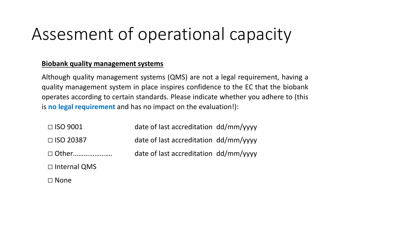## Assesment of operational capacity

### **Biobank quality management systems**

Although quality management systems (QMS) are not a legal requirement, having a quality management system in place inspires confidence to the EC that the biobank operates according to certain standards. Please indicate whether you adhere to (this is **no legal requirement** and has no impact on the evaluation!):

| $\Box$ ISO 9001     | date of last accreditation dd/mm/vyyy |  |
|---------------------|---------------------------------------|--|
| $\Box$ ISO 20387    | date of last accreditation dd/mm/yyyy |  |
| □ Other             | date of last accreditation dd/mm/yyyy |  |
| $\Box$ Internal QMS |                                       |  |
| $\Box$ None         |                                       |  |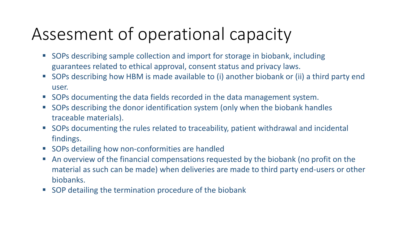## Assesment of operational capacity

- SOPs describing sample collection and import for storage in biobank, including guarantees related to ethical approval, consent status and privacy laws.
- SOPs describing how HBM is made available to (i) another biobank or (ii) a third party end user.
- SOPs documenting the data fields recorded in the data management system.
- SOPs describing the donor identification system (only when the biobank handles traceable materials).
- SOPs documenting the rules related to traceability, patient withdrawal and incidental findings.
- SOPs detailing how non-conformities are handled
- An overview of the financial compensations requested by the biobank (no profit on the material as such can be made) when deliveries are made to third party end-users or other biobanks.
- SOP detailing the termination procedure of the biobank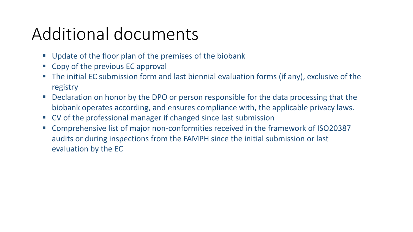## Additional documents

- Update of the floor plan of the premises of the biobank
- Copy of the previous EC approval
- The initial EC submission form and last biennial evaluation forms (if any), exclusive of the registry
- **Declaration on honor by the DPO or person responsible for the data processing that the** biobank operates according, and ensures compliance with, the applicable privacy laws.
- CV of the professional manager if changed since last submission
- Comprehensive list of major non-conformities received in the framework of ISO20387 audits or during inspections from the FAMPH since the initial submission or last evaluation by the EC